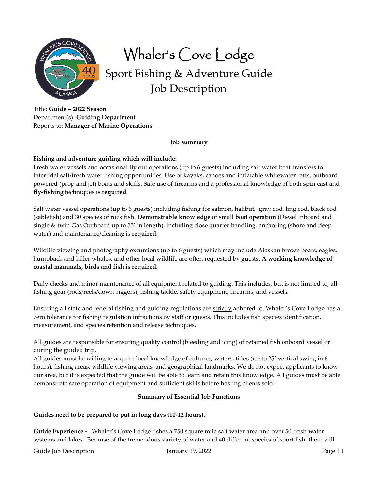

Whaler's Cove Lodge

Sport Fishing & Adventure Guide Job Description

Title: **Guide – 2022 Season** Department(s): **Guiding Department** Reports to: **Manager of Marine Operations**

#### **Job summary**

## **Fishing and adventure guiding which will include:**

Fresh water vessels and occasional fly out operations (up to 6 guests) including salt water boat transfers to intertidal salt/fresh water fishing opportunities. Use of kayaks, canoes and inflatable whitewater rafts, outboard powered (prop and jet) boats and skiffs. Safe use of firearms and a professional knowledge of both **spin cast** and **fly‐fishing** techniques is **required**.

Salt water vessel operations (up to 6 guests) including fishing for salmon, halibut, gray cod, ling cod, black cod (sablefish) and 30 species of rock fish. **Demonstrable knowledge** of small **boat operation** (Diesel Inboard and single & twin Gas Outboard up to 35' in length), including close quarter handling, anchoring (shore and deep water) and maintenance/cleaning is **required**.

Wildlife viewing and photography excursions (up to 6 guests) which may include Alaskan brown bears, eagles, humpback and killer whales, and other local wildlife are often requested by guests. **A working knowledge of coastal mammals, birds and fish is required.**

Daily checks and minor maintenance of all equipment related to guiding. This includes, but is not limited to, all fishing gear (rods/reels/down‐riggers), fishing tackle, safety equipment, firearms, and vessels.

Ensuring all state and federal fishing and guiding regulations are strictly adhered to. Whaler's Cove Lodge has a zero tolerance for fishing regulation infractions by staff or guests. This includes fish species identification, measurement, and species retention and release techniques.

All guides are responsible for ensuring quality control (bleeding and icing) of retained fish onboard vessel or during the guided trip.

All guides must be willing to acquire local knowledge of cultures, waters, tides (up to 25' vertical swing in 6 hours), fishing areas, wildlife viewing areas, and geographical landmarks. We do not expect applicants to know our area, but it is expected that the guide will be able to learn and retain this knowledge. All guides must be able demonstrate safe operation of equipment and sufficient skills before hosting clients solo.

### **Summary of Essential Job Functions**

### **Guides need to be prepared to put in long days (10‐12 hours).**

**Guide Experience ‐**  Whaler's Cove Lodge fishes a 750 square mile salt water area and over 50 fresh water systems and lakes. Because of the tremendous variety of water and 40 different species of sport fish, there will

Guide Job Description Figure 1 2002 and January 19, 2022 and January 19, 2022 and January 19, 2022 and January 19, 2022 and January 19, 2022 and January 19, 2022 and January 19, 2022 and January 19, 2022 and January 19, 20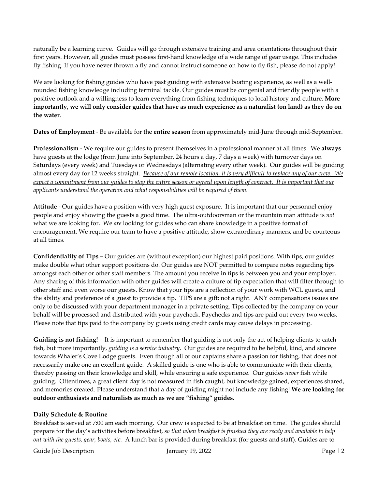naturally be a learning curve. Guides will go through extensive training and area orientations throughout their first years. However, all guides must possess first-hand knowledge of a wide range of gear usage. This includes fly fishing. If you have never thrown a fly and cannot instruct someone on how to fly fish, please do not apply!

We are looking for fishing guides who have past guiding with extensive boating experience, as well as a wellrounded fishing knowledge including terminal tackle. Our guides must be congenial and friendly people with a positive outlook and a willingness to learn everything from fishing techniques to local history and culture. **More** importantly, we will only consider guides that have as much experience as a naturalist (on land) as they do on **the water**.

**Dates of Employment** ‐ Be available for the **entire season** from approximately mid‐June through mid‐September.

**Professionalism** ‐ We require our guides to present themselves in a professional manner at all times. We **always** have guests at the lodge (from June into September, 24 hours a day, 7 days a week) with turnover days on Saturdays (every week) and Tuesdays or Wednesdays (alternating every other week). Our guides will be guiding almost every day for 12 weeks straight. Because of our remote location, it is very difficult to replace any of our crew. We expect a commitment from our guides to stay the entire season or agreed upon length of contract. It is important that our *applicants understand the operation and what responsibilities will be required of them.*

**Attitude** ‐ Our guides have a position with very high guest exposure. It is important that our personnel enjoy people and enjoy showing the guests a good time. The ultra‐outdoorsman or the mountain man attitude is *not* what we are looking for. We *are* looking for guides who can share knowledge in a positive format of encouragement. We require our team to have a positive attitude, show extraordinary manners, and be courteous at all times.

**Confidentiality of Tips –** Our guides are (without exception) our highest paid positions. With tips, our guides make double what other support positions do. Our guides are NOT permitted to compare notes regarding tips amongst each other or other staff members. The amount you receive in tips is between you and your employer. Any sharing of this information with other guides will create a culture of tip expectation that will filter through to other staff and even worse our guests. Know that your tips are a reflection of your work with WCL guests, and the ability and preference of a guest to provide a tip. TIPS are a gift; not a right. ANY compensations issues are only to be discussed with your department manager in a private setting. Tips collected by the company on your behalf will be processed and distributed with your paycheck. Paychecks and tips are paid out every two weeks. Please note that tips paid to the company by guests using credit cards may cause delays in processing.

**Guiding is not fishing!** ‐ It is important to remember that guiding is not only the act of helping clients to catch fish, but more importantly, *guiding is a service industry*. Our guides are required to be helpful, kind, and sincere towards Whaler's Cove Lodge guests. Even though all of our captains share a passion for fishing, that does not necessarily make one an excellent guide. A skilled guide is one who is able to communicate with their clients, thereby passing on their knowledge and skill, while ensuring a safe experience. Our guides *never* fish while guiding. Oftentimes, a great client day is not measured in fish caught, but knowledge gained, experiences shared, and memories created. Please understand that a day of guiding might not include any fishing! **We are looking for outdoor enthusiasts and naturalists as much as we are "fishing" guides.**

# **Daily Schedule & Routine**

Breakfast is served at 7:00 am each morning. Our crew is expected to be at breakfast on time. The guides should prepare for the day's activities before breakfast, *so that when breakfast is finished they are ready and available to help out with the guests, gear, boats, etc.* A lunch bar is provided during breakfast (for guests and staff). Guides are to

Guide Job Description Figure 12 and January 19, 2022 **Page | 2** and 2011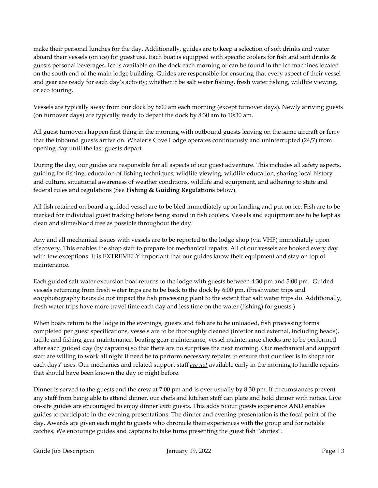make their personal lunches for the day. Additionally, guides are to keep a selection of soft drinks and water aboard their vessels (on ice) for guest use. Each boat is equipped with specific coolers for fish and soft drinks & guests personal beverages. Ice is available on the dock each morning or can be found in the ice machines located on the south end of the main lodge building. Guides are responsible for ensuring that every aspect of their vessel and gear are ready for each day's activity; whether it be salt water fishing, fresh water fishing, wildlife viewing, or eco touring.

Vessels are typically away from our dock by 8:00 am each morning (except turnover days). Newly arriving guests (on turnover days) are typically ready to depart the dock by 8:30 am to 10:30 am.

All guest turnovers happen first thing in the morning with outbound guests leaving on the same aircraft or ferry that the inbound guests arrive on. Whaler's Cove Lodge operates continuously and uninterrupted (24/7) from opening day until the last guests depart.

During the day, our guides are responsible for all aspects of our guest adventure. This includes all safety aspects, guiding for fishing, education of fishing techniques, wildlife viewing, wildlife education, sharing local history and culture, situational awareness of weather conditions, wildlife and equipment, and adhering to state and federal rules and regulations (See **Fishing & Guiding Regulations** below).

All fish retained on board a guided vessel are to be bled immediately upon landing and put on ice. Fish are to be marked for individual guest tracking before being stored in fish coolers. Vessels and equipment are to be kept as clean and slime/blood free as possible throughout the day.

Any and all mechanical issues with vessels are to be reported to the lodge shop (via VHF) immediately upon discovery. This enables the shop staff to prepare for mechanical repairs. All of our vessels are booked every day with few exceptions. It is EXTREMELY important that our guides know their equipment and stay on top of maintenance.

Each guided salt water excursion boat returns to the lodge with guests between 4:30 pm and 5:00 pm. Guided vessels returning from fresh water trips are to be back to the dock by 6:00 pm. (Freshwater trips and eco/photography tours do not impact the fish processing plant to the extent that salt water trips do. Additionally, fresh water trips have more travel time each day and less time on the water (fishing) for guests.)

When boats return to the lodge in the evenings, guests and fish are to be unloaded, fish processing forms completed per guest specifications, vessels are to be thoroughly cleaned (interior and external, including heads), tackle and fishing gear maintenance, boating gear maintenance, vessel maintenance checks are to be performed after each guided day (by captains) so that there are no surprises the next morning. Our mechanical and support staff are willing to work all night if need be to perform necessary repairs to ensure that our fleet is in shape for each days' uses. Our mechanics and related support staff *are not* available early in the morning to handle repairs that should have been known the day or night before.

Dinner is served to the guests and the crew at 7:00 pm and is over usually by 8:30 pm. If circumstances prevent any staff from being able to attend dinner, our chefs and kitchen staff can plate and hold dinner with notice. Live on‐site guides are encouraged to enjoy dinner *with* guests. This adds to our guests experience AND enables guides to participate in the evening presentations. The dinner and evening presentation is the focal point of the day. Awards are given each night to guests who chronicle their experiences with the group and for notable catches. We encourage guides and captains to take turns presenting the guest fish "stories".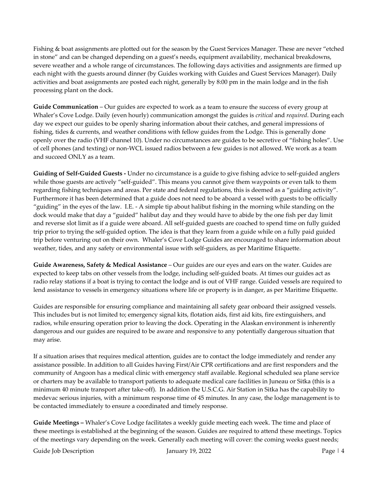Fishing & boat assignments are plotted out for the season by the Guest Services Manager. These are never "etched in stone" and can be changed depending on a guest's needs, equipment availability, mechanical breakdowns, severe weather and a whole range of circumstances. The following days activities and assignments are firmed up each night with the guests around dinner (by Guides working with Guides and Guest Services Manager). Daily activities and boat assignments are posted each night, generally by 8:00 pm in the main lodge and in the fish processing plant on the dock.

**Guide Communication** – Our guides are expected to work as a team to ensure the success of every group at Whaler's Cove Lodge. Daily (even hourly) communication amongst the guides is *critical* and *required*. During each day we expect our guides to be openly sharing information about their catches, and general impressions of fishing, tides & currents, and weather conditions with fellow guides from the Lodge. This is generally done openly over the radio (VHF channel 10). Under no circumstances are guides to be secretive of "fishing holes". Use of cell phones (and texting) or non‐WCL issued radios between a few guides is not allowed. We work as a team and succeed ONLY as a team.

**Guiding of Self‐Guided Guests ‐** Under no circumstance is a guide to give fishing advice to self‐guided anglers while those guests are actively "self-guided". This means you cannot give them waypoints or even talk to them regarding fishing techniques and areas. Per state and federal regulations, this is deemed as a "guiding activity". Furthermore it has been determined that a guide does not need to be aboard a vessel with guests to be officially "guiding" in the eyes of the law. I.E. ‐ A simple tip about halibut fishing in the morning while standing on the dock would make that day a "guided" halibut day and they would have to abide by the one fish per day limit and reverse slot limit as if a guide were aboard. All self‐guided guests are coached to spend time on fully guided trip prior to trying the self‐guided option. The idea is that they learn from a guide while on a fully paid guided trip before venturing out on their own. Whaler's Cove Lodge Guides are encouraged to share information about weather, tides, and any safety or environmental issue with self‐guiders, as per Maritime Etiquette.

**Guide Awareness, Safety & Medical Assistance** – Our guides are our eyes and ears on the water. Guides are expected to keep tabs on other vessels from the lodge, including self‐guided boats. At times our guides act as radio relay stations if a boat is trying to contact the lodge and is out of VHF range. Guided vessels are required to lend assistance to vessels in emergency situations where life or property is in danger, as per Maritime Etiquette.

Guides are responsible for ensuring compliance and maintaining all safety gear onboard their assigned vessels. This includes but is not limited to; emergency signal kits, flotation aids, first aid kits, fire extinguishers, and radios, while ensuring operation prior to leaving the dock. Operating in the Alaskan environment is inherently dangerous and our guides are required to be aware and responsive to any potentially dangerous situation that may arise.

If a situation arises that requires medical attention, guides are to contact the lodge immediately and render any assistance possible. In addition to all Guides having First/Air CPR certifications and are first responders and the community of Angoon has a medical clinic with emergency staff available. Regional scheduled sea plane service or charters may be available to transport patients to adequate medical care facilities in Juneau or Sitka (this is a minimum 40 minute transport after take‐off). In addition the U.S.C.G. Air Station in Sitka has the capability to medevac serious injuries, with a minimum response time of 45 minutes. In any case, the lodge management is to be contacted immediately to ensure a coordinated and timely response.

**Guide Meetings –** Whaler's Cove Lodge facilitates a weekly guide meeting each week. The time and place of these meetings is established at the beginning of the season. Guides are required to attend these meetings. Topics of the meetings vary depending on the week. Generally each meeting will cover: the coming weeks guest needs;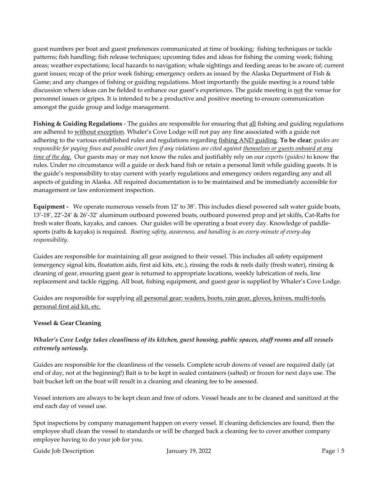guest numbers per boat and guest preferences communicated at time of booking; fishing techniques or tackle patterns; fish handling; fish release techniques; upcoming tides and ideas for fishing the coming week; fishing areas; weather expectations; local hazards to navigation; whale sightings and feeding areas to be aware of; current guest issues; recap of the prior week fishing; emergency orders as issued by the Alaska Department of Fish & Game; and any changes of fishing or guiding regulations. Most importantly the guide meeting is a round table discussion where ideas can be fielded to enhance our guest's experiences. The guide meeting is not the venue for personnel issues or gripes. It is intended to be a productive and positive meeting to ensure communication amongst the guide group and lodge management.

**Fishing & Guiding Regulations** ‐ The guides are responsible for ensuring that all fishing and guiding regulations are adhered to without exception. Whaler's Cove Lodge will not pay any fine associated with a guide not adhering to the various established rules and regulations regarding fishing AND guiding. **To be clear***; guides are* responsible for paying fines and possible court fees if any violations are cited against themselves or guests onboard at any *time of the day.* Our guests may or may not know the rules and justifiably rely on our *experts (guides)* to know the rules. Under no circumstance will a guide or deck hand fish or retain a personal limit while guiding guests. It is the guide's responsibility to stay current with yearly regulations and emergency orders regarding any and all aspects of guiding in Alaska. All required documentation is to be maintained and be immediately accessible for management or law enforcement inspection.

**Equipment ‐** We operate numerous vessels from 12' to 38'. This includes diesel powered salt water guide boats, 13'‐18', 22'‐24' & 26'‐32' aluminum outboard powered boats, outboard powered prop and jet skiffs, Cat‐Rafts for fresh water floats, kayaks, and canoes. Our guides will be operating a boat every day. Knowledge of paddle‐ sports (rafts & kayaks) is required. *Boating safety, awareness, and handling is an every‐minute of every‐day responsibility.*

Guides are responsible for maintaining all gear assigned to their vessel. This includes all safety equipment (emergency signal kits, floatation aids, first aid kits, etc.), rinsing the rods & reels daily (fresh water), rinsing & cleaning of gear, ensuring guest gear is returned to appropriate locations, weekly lubrication of reels, line replacement and tackle rigging. All boat, fishing equipment, and guest gear is supplied by Whaler's Cove Lodge.

Guides are responsible for supplying all personal gear: waders, boots, rain gear, gloves, knives, multi-tools, personal first aid kit, etc.

# **Vessel & Gear Cleaning**

# Whaler's Cove Lodge takes cleanliness of its kitchen, guest housing, public spaces, staff rooms and all vessels *extremely seriously.*

Guides are responsible for the cleanliness of the vessels. Complete scrub downs of vessel are required daily (at end of day, not at the beginning!) Bait is to be kept in sealed containers (salted) or frozen for next days use. The bait bucket left on the boat will result in a cleaning and cleaning fee to be assessed.

Vessel interiors are always to be kept clean and free of odors. Vessel heads are to be cleaned and sanitized at the end each day of vessel use.

Spot inspections by company management happen on every vessel. If cleaning deficiencies are found, then the employee shall clean the vessel to standards or will be charged back a cleaning fee to cover another company employee having to do your job for you.

Guide Job Description Figure 1.5 January 19, 2022 Figure 1.5 Page | 5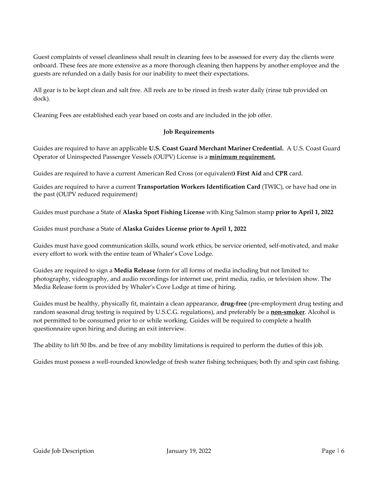Guest complaints of vessel cleanliness shall result in cleaning fees to be assessed for every day the clients were onboard. These fees are more extensive as a more thorough cleaning then happens by another employee and the guests are refunded on a daily basis for our inability to meet their expectations.

All gear is to be kept clean and salt free. All reels are to be rinsed in fresh water daily (rinse tub provided on dock).

Cleaning Fees are established each year based on costs and are included in the job offer.

#### **Job Requirements**

Guides are required to have an applicable **U.S. Coast Guard Merchant Mariner Credential.** A U.S. Coast Guard Operator of Uninspected Passenger Vessels (OUPV) License is a **minimum requirement.**

Guides are required to have a current American Red Cross (or equivalent**) First Aid** and **CPR** card.

Guides are required to have a current **Transportation Workers Identification Card** (TWIC), or have had one in the past (OUPV reduced requirement)

Guides must purchase a State of **Alaska Sport Fishing License** with King Salmon stamp **prior to April 1, 2022**

Guides must purchase a State of **Alaska Guides License prior to April 1, 2022**

Guides must have good communication skills, sound work ethics, be service oriented, self‐motivated, and make every effort to work with the entire team of Whaler's Cove Lodge.

Guides are required to sign a **Media Release** form for all forms of media including but not limited to: photography, videography, and audio recordings for internet use, print media, radio, or television show. The Media Release form is provided by Whaler's Cove Lodge at time of hiring.

Guides must be healthy, physically fit, maintain a clean appearance, **drug‐free** (pre‐employment drug testing and random seasonal drug testing is required by U.S.C.G. regulations), and preferably be a **non‐smoker**. Alcohol is not permitted to be consumed prior to or while working. Guides will be required to complete a health questionnaire upon hiring and during an exit interview.

The ability to lift 50 lbs. and be free of any mobility limitations is required to perform the duties of this job.

Guides must possess a well-rounded knowledge of fresh water fishing techniques; both fly and spin cast fishing.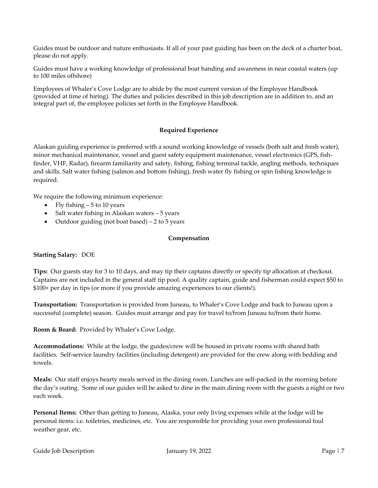Guides must be outdoor and nature enthusiasts. If all of your past guiding has been on the deck of a charter boat, please do not apply.

Guides must have a working knowledge of professional boat handing and awareness in near coastal waters (up to 100 miles offshore)

Employees of Whaler's Cove Lodge are to abide by the most current version of the Employee Handbook (provided at time of hiring). The duties and policies described in this job description are in addition to, and an integral part of, the employee policies set forth in the Employee Handbook.

### **Required Experience**

Alaskan guiding experience is preferred with a sound working knowledge of vessels (both salt and fresh water), minor mechanical maintenance, vessel and guest safety equipment maintenance, vessel electronics (GPS, fishfinder, VHF, Radar), firearm familiarity and safety, fishing, fishing terminal tackle, angling methods, techniques and skills. Salt water fishing (salmon and bottom fishing), fresh water fly fishing or spin fishing knowledge is required.

We require the following minimum experience:

- Fly fishing 5 to 10 years
- Salt water fishing in Alaskan waters 5 years
- Outdoor guiding (not boat based) 2 to 5 years

#### **Compensation**

#### **Starting Salary:** DOE

**Tips:** Our guests stay for 3 to 10 days, and may tip their captains directly or specify tip allocation at checkout. Captains are not included in the general staff tip pool. A quality captain, guide and fisherman could expect \$50 to \$100+ per day in tips (or more if you provide amazing experiences to our clients!).

**Transportation:** Transportation is provided from Juneau, to Whaler's Cove Lodge and back to Juneau upon a successful (complete) season. Guides must arrange and pay for travel to/from Juneau to/from their home.

**Room & Board:** Provided by Whaler's Cove Lodge.

**Accommodations:** While at the lodge, the guides/crew will be housed in private rooms with shared bath facilities. Self-service laundry facilities (including detergent) are provided for the crew along with bedding and towels.

**Meals:** Our staff enjoys hearty meals served in the dining room. Lunches are self‐packed in the morning before the day's outing. Some of our guides will be asked to dine in the main dining room with the guests a night or two each week.

**Personal Items:** Other than getting to Juneau, Alaska, your only living expenses while at the lodge will be personal items: i.e. toiletries, medicines, etc. You are responsible for providing your own professional foul weather gear, etc.